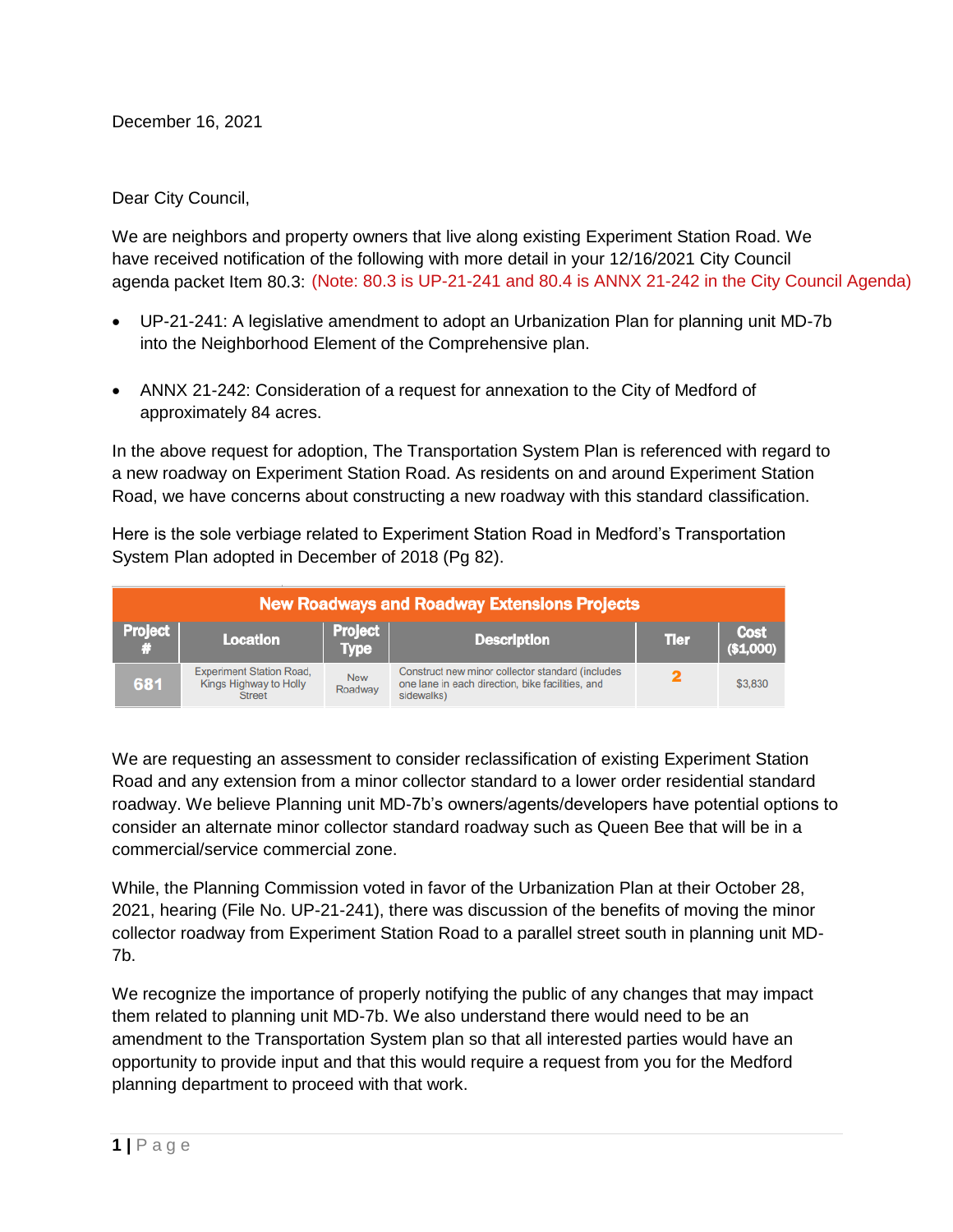December 16, 2021

Dear City Council,

We are neighbors and property owners that live along existing Experiment Station Road. We have received notification of the following with more detail in your 12/16/2021 City Council agenda packet Item 80.3: (Note: 80.3 is UP-21-241 and 80.4 is ANNX 21-242 in the City Council Agenda)

- UP-21-241: A legislative amendment to adopt an Urbanization Plan for planning unit MD-7b into the Neighborhood Element of the Comprehensive plan.
- ANNX 21-242: Consideration of a request for annexation to the City of Medford of approximately 84 acres.

In the above request for adoption, The Transportation System Plan is referenced with regard to a new roadway on Experiment Station Road. As residents on and around Experiment Station Road, we have concerns about constructing a new roadway with this standard classification.

Here is the sole verbiage related to Experiment Station Road in Medford's Transportation System Plan adopted in December of 2018 (Pg 82).

| <b>New Roadways and Roadway Extensions Projects</b> |                                                                            |                               |                                                                                                                    |             |                          |
|-----------------------------------------------------|----------------------------------------------------------------------------|-------------------------------|--------------------------------------------------------------------------------------------------------------------|-------------|--------------------------|
| <b>Project</b>                                      | <b>Location</b>                                                            | <b>Project</b><br><b>Type</b> | <b>Description</b>                                                                                                 | <b>Tler</b> | <b>Cost</b><br>(\$1,000) |
| 681                                                 | <b>Experiment Station Road,</b><br>Kings Highway to Holly<br><b>Street</b> | <b>New</b><br>Roadway         | Construct new minor collector standard (includes<br>one lane in each direction, bike facilities, and<br>sidewalks) |             | \$3,830                  |

We are requesting an assessment to consider reclassification of existing Experiment Station Road and any extension from a minor collector standard to a lower order residential standard roadway. We believe Planning unit MD-7b's owners/agents/developers have potential options to consider an alternate minor collector standard roadway such as Queen Bee that will be in a commercial/service commercial zone.

While, the Planning Commission voted in favor of the Urbanization Plan at their October 28, 2021, hearing (File No. UP-21-241), there was discussion of the benefits of moving the minor collector roadway from Experiment Station Road to a parallel street south in planning unit MD-7b.

We recognize the importance of properly notifying the public of any changes that may impact them related to planning unit MD-7b. We also understand there would need to be an amendment to the Transportation System plan so that all interested parties would have an opportunity to provide input and that this would require a request from you for the Medford planning department to proceed with that work.